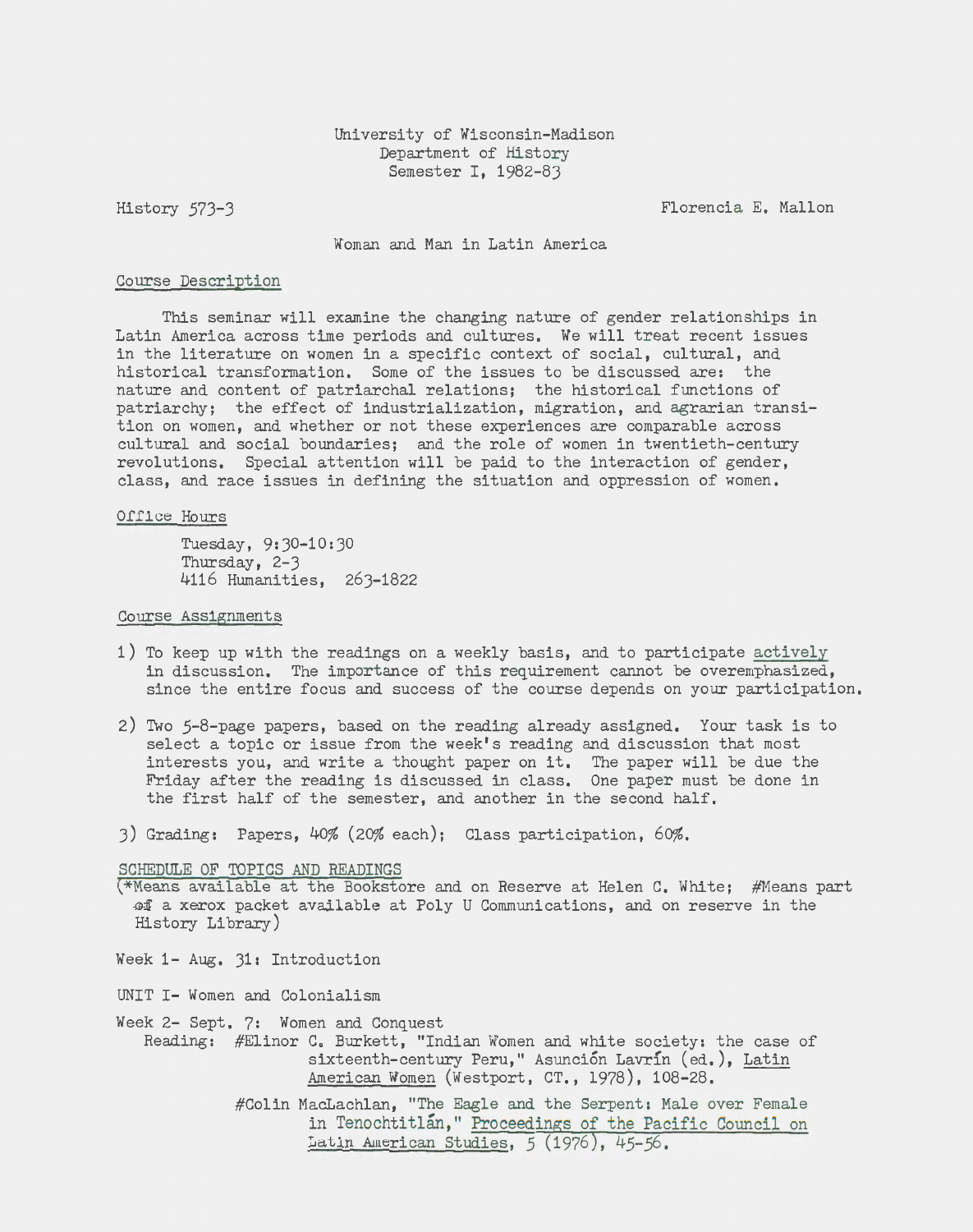History 573-3

Florencia E. Mallon

Woman and Man in Latin America

## Course Description

This seminar will examine the changing nature of gender relationships in Latin America across time periods and cultures. *We* will treat recent issues in the literature on women in a specific context of social, cultural, and historical transformation. Some of the issues to be discussed are: the nature and content of patriarchal relations; the historical functions of patriarchy; the effect of industrialization, migration, and agrarian transition on women, and whether or not these experiences are comparable across cultural and social boundaries; and the role of women in twentieth-century revolutions. Special attention will be paid to the interaction of gender, class, and race issues in defining the situation and oppression of women.

## Office Hours

Tuesday, 9:30-10:30 Thursday, 2-3 4116 Humanities, 263-1822

## Course Assignments

- 1) To keep up with the readings on a weekly basis, and to participate actively in discussion. The importance of this requirement cannot be overemphasized, since the entire focus and success of the course depends on your participation.
- 2) Two 5-8-page papers, based on the reading already assigned. Your task is to select a topic or issue from the week's reading and discussion that most interests you, and write a thought paper on it. The paper will be due the Friday after the reading is discussed in class. One paper must be done in the first half of the semester, and another in the second half.
- 3) Grading: Papers, 40% (20% each); Class participation, 60%.

SCHEDULE OF TOPICS AND READINGS

- (\*Means available at the Bookstore and on Reserve at Helen c. White; #Means part of a xerox packet available at Poly U Communications, and on reserve in the History Library)
- *Week* 1- Aug. 31: Introduction
- UNIT I- Women and Colonialism
- Week 2- Sept. 7: Women and Conquest Reading: #Elinor C. Burkett, "Indian Women and white society: the case of sixteenth-century Peru," Asunción Lavrín (ed.), Latin C. Burkett, "Indian Women and white society: the case<br>sixteenth-century Peru," Asunción Lavrín (ed.), <u>Latin</u><br>American Women (Westport, CT., 1978), 108-28.
	- #Colin MacLachlan, "The Eagle and the Serpent: Male over Female in Tenochtitlan," Proceedings of the Pacific Council on Latin American Studies, *5* (1976), 45-56.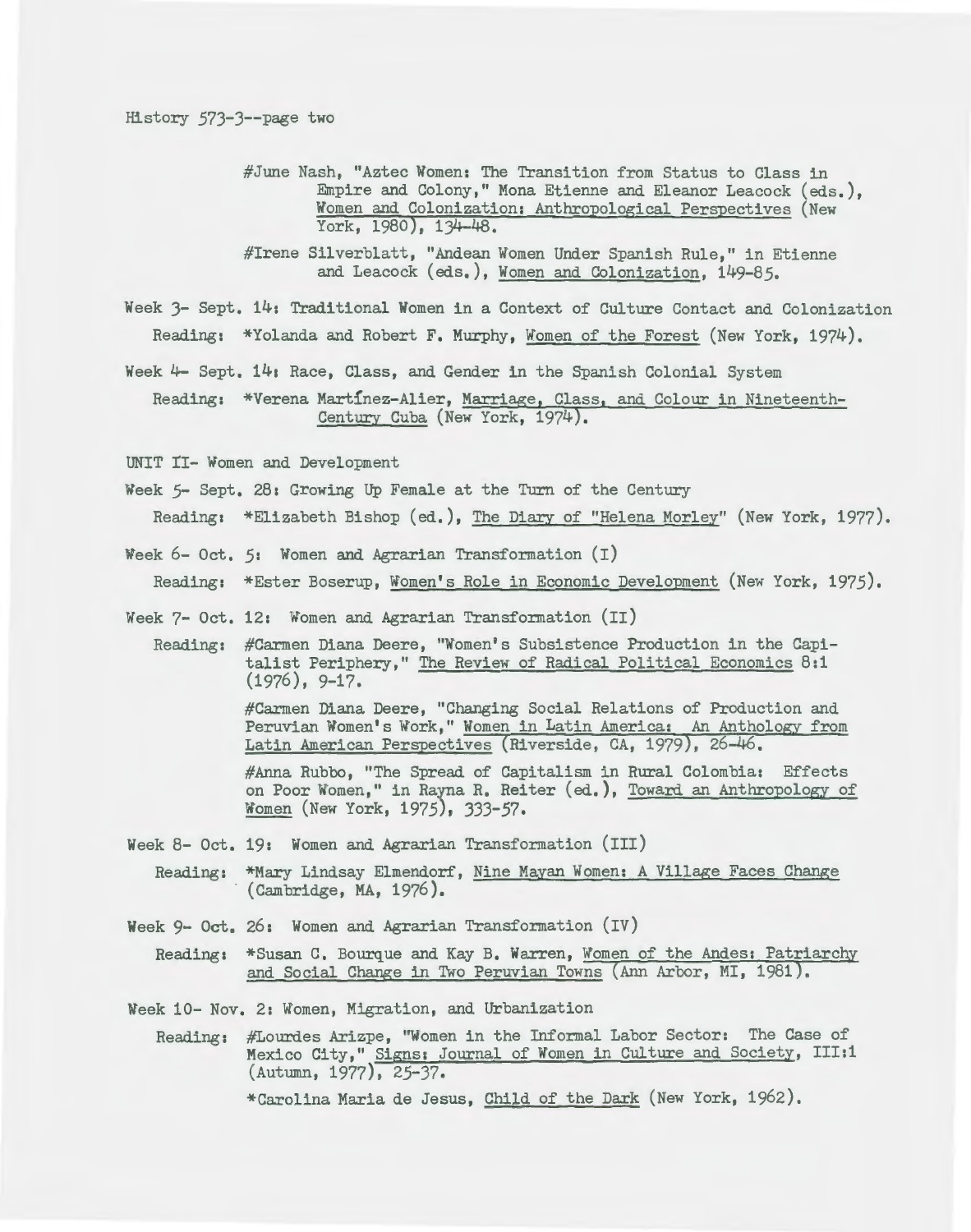#June Nash, "Aztec Women: The Transition from Status to Class in Empire and Colony," Mona Etienne and Eleanor Leacock (eds.), Women and Colonization: Anthropological Perspectives (New York, 1980), 134-48.

#Irene Silverblatt, "Andean Women Under Spanish Rule," in Etienne and Leacock (eds,), Women and Colonization, 149-85.

Week 3- Sept, 14: Traditional Women in a Context of Culture Contact and Colonization Reading: \*Yolanda and Robert F, Murphy, Women of the Forest (New York, 1974),

Week 4- Sept, 14a Race, Class, and Gender in the Spanish Colonial System

Reading: \*Verena Martinez-Alier, Marriage, Class, and Colour in Nineteenth-Century Cuba (New York, 1974),

UNIT II- Women and Development

- *Week 5-* Sept, 28: Growing Up Female at the Turn of the Century Reading: \*Elizabeth Bishop (ed.), The Diary of "Helena Morley" (New York, 1977).
- *Week* 6- Oct, *5:* Women and Agrarian Transformation (I) Reading: \*Ester Boserup, Women's Role in Economic Development (New York, 1975),
- Week 7- Oct, 12: Women and Agrarian Transformation (II)
	- Reading: #Carmen Diana Deere, "Women's Subsistence Production in the Capitalist Periphery," The Review of Radical Political Economics 8:1  $(1976)$ , 9-17.

#Carmen Diana Deere, "Changing Social Relations of Production and Peruvian Women's Work," Women in Latin America: An Anthology from Latin American Perspectives (Riverside, CA, 1979), 26-46.

#Anna Rubbo, "The Spread of Capitalism in Rural Colombia: Effects on Poor Women," in Rayna R. Reiter (ed,), Toward an Anthropology of Women (New York, 1975), 333-57.

*Week* 8- Oct. 19: *Women* and Agrarian Transformation (III)

Reading: \*Mary Lindsay Elmendorf, Nine Mayan Women: A Village Faces Change (Cambridge, MA, 1976).

- *Week* 9- Oct, 26: Women and Agrarian Transformation (IV)
	- Reading: \*Susan C, Bourque and Kay B. Warren, Women of the Andes: Patriarchy and Social Change in Two Peruvian Towns (Ann Arbor, MI, 1981).

*Week* 10- Nov. 2: Women, Migration, and Urbanization

Reading: #Lourdes Arizpe, "Women in the Informal Labor Sector: The Case of Mexico City," Signs: Journal of Women in Culture and Society, III:1 (Autumn, 1977), 25-37.

\*Carolina Maria de Jesus, Child of the Dark (New York, 1962).